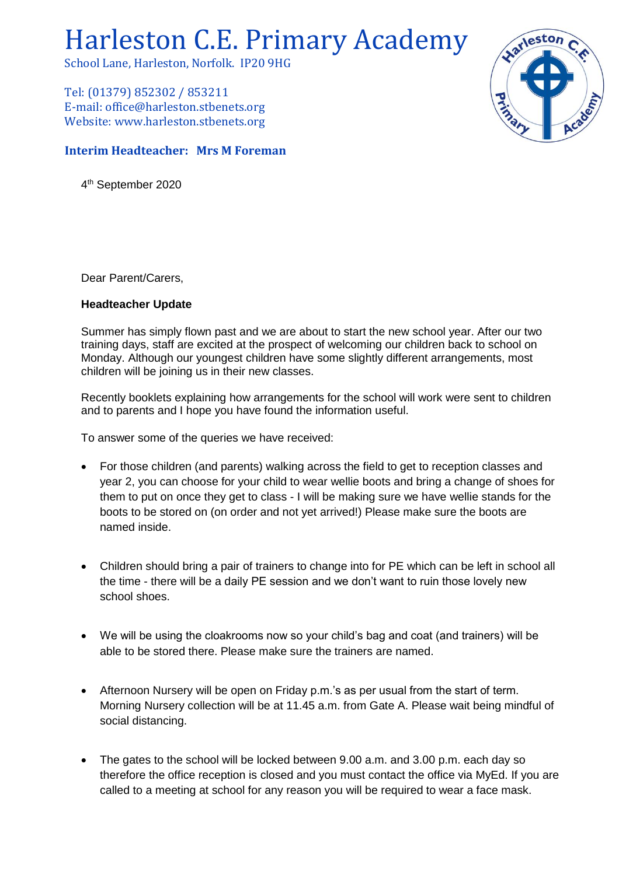## Harleston C.E. Primary Academy

School Lane, Harleston, Norfolk. IP20 9HG

Tel: (01379) 852302 / 853211 E-mail: office@harleston.stbenets.org Website: www.harleston.stbenets.org

## **Interim Headteacher: Mrs M Foreman**

4 th September 2020

Dear Parent/Carers,

## **Headteacher Update**

Summer has simply flown past and we are about to start the new school year. After our two training days, staff are excited at the prospect of welcoming our children back to school on Monday. Although our youngest children have some slightly different arrangements, most children will be joining us in their new classes.

Recently booklets explaining how arrangements for the school will work were sent to children and to parents and I hope you have found the information useful.

To answer some of the queries we have received:

- For those children (and parents) walking across the field to get to reception classes and year 2, you can choose for your child to wear wellie boots and bring a change of shoes for them to put on once they get to class - I will be making sure we have wellie stands for the boots to be stored on (on order and not yet arrived!) Please make sure the boots are named inside.
- Children should bring a pair of trainers to change into for PE which can be left in school all the time - there will be a daily PE session and we don't want to ruin those lovely new school shoes.
- We will be using the cloakrooms now so your child's bag and coat (and trainers) will be able to be stored there. Please make sure the trainers are named.
- Afternoon Nursery will be open on Friday p.m.'s as per usual from the start of term. Morning Nursery collection will be at 11.45 a.m. from Gate A. Please wait being mindful of social distancing.
- The gates to the school will be locked between 9.00 a.m. and 3.00 p.m. each day so therefore the office reception is closed and you must contact the office via MyEd. If you are called to a meeting at school for any reason you will be required to wear a face mask.